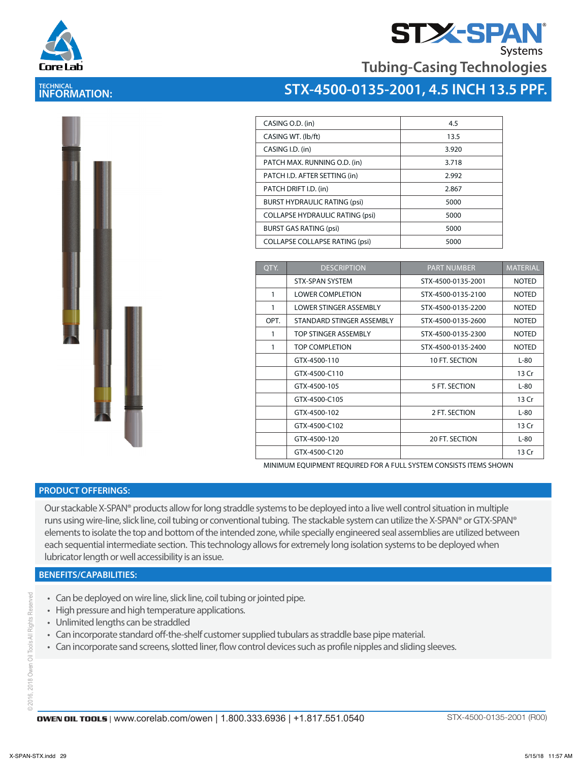



**Tubing-Casing Technologies**

## **STX-4500-0135-2001, 4.5 INCH 13.5 PPF.**

| CASING O.D. (in)                       | 4.5   |
|----------------------------------------|-------|
| CASING WT. (lb/ft)                     | 13.5  |
| CASING I.D. (in)                       | 3.920 |
| PATCH MAX. RUNNING O.D. (in)           | 3.718 |
| PATCH I.D. AFTER SETTING (in)          | 2.992 |
| PATCH DRIFT I.D. (in)                  | 2.867 |
| <b>BURST HYDRAULIC RATING (psi)</b>    | 5000  |
| <b>COLLAPSE HYDRAULIC RATING (psi)</b> | 5000  |
| <b>BURST GAS RATING (psi)</b>          | 5000  |
| <b>COLLAPSE COLLAPSE RATING (psi)</b>  | 5000  |
|                                        |       |

| OTY. | <b>DESCRIPTION</b>        | <b>PART NUMBER</b> | <b>MATERIAL</b> |
|------|---------------------------|--------------------|-----------------|
|      | <b>STX-SPAN SYSTEM</b>    | STX-4500-0135-2001 | <b>NOTED</b>    |
| 1    | <b>LOWER COMPLETION</b>   | STX-4500-0135-2100 | <b>NOTED</b>    |
| 1    | LOWER STINGER ASSEMBLY    | STX-4500-0135-2200 | <b>NOTED</b>    |
| OPT. | STANDARD STINGER ASSEMBLY | STX-4500-0135-2600 | <b>NOTED</b>    |
| 1    | TOP STINGER ASSEMBLY      | STX-4500-0135-2300 | <b>NOTED</b>    |
| 1    | TOP COMPLETION            | STX-4500-0135-2400 | <b>NOTED</b>    |
|      | GTX-4500-110              | 10 FT. SECTION     | $L-80$          |
|      | GTX-4500-C110             |                    | 13 Cr           |
|      | GTX-4500-105              | 5 FT. SECTION      | $L-80$          |
|      | GTX-4500-C105             |                    | 13 Cr           |
|      | GTX-4500-102              | 2 FT. SECTION      | $L-80$          |
|      | GTX-4500-C102             |                    | 13 Cr           |
|      | GTX-4500-120              | 20 FT. SECTION     | $L-80$          |
|      | GTX-4500-C120             |                    | 13 Cr           |

MINIMUM EQUIPMENT REQUIRED FOR A FULL SYSTEM CONSISTS ITEMS SHOWN

### **PRODUCT OFFERINGS:**

Our stackable X-SPAN® products allow for long straddle systems to be deployed into a live well control situation in multiple runs using wire-line, slick line, coil tubing or conventional tubing. The stackable system can utilize the X-SPAN® or GTX-SPAN® elements to isolate the top and bottom of the intended zone, while specially engineered seal assemblies are utilized between each sequential intermediate section. This technology allows for extremely long isolation systems to be deployed when lubricator length or well accessibility is an issue.

## **BENEFITS/CAPABILITIES:**

- Can be deployed on wire line, slick line, coil tubing or jointed pipe.
- High pressure and high temperature applications.
- Unlimited lengths can be straddled
- Can incorporate standard off-the-shelf customer supplied tubulars as straddle base pipe material.
- Can incorporate sand screens, slotted liner, flow control devices such as profile nipples and sliding sleeves.

2018 Owen Oil Tools All Rights Reserved © 2016, 2018 Owen Oil Tools All Rights Reserved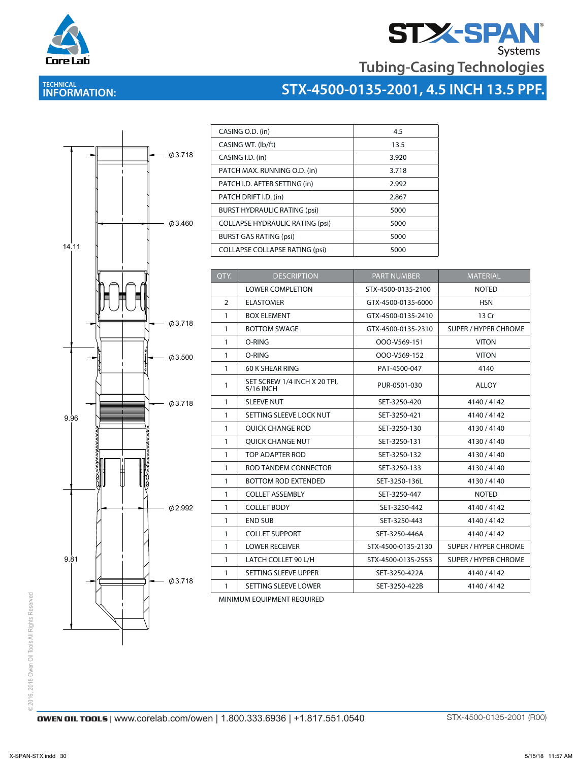



# **STX-4500-0135-2001, 4.5 INCH 13.5 PPF.**



| CASING O.D. (in)                       | 4.5   |
|----------------------------------------|-------|
| CASING WT. (lb/ft)                     | 13.5  |
| CASING I.D. (in)                       | 3.920 |
| PATCH MAX. RUNNING O.D. (in)           | 3.718 |
| PATCH I.D. AFTER SETTING (in)          | 2.992 |
| PATCH DRIFT I.D. (in)                  | 2.867 |
| <b>BURST HYDRAULIC RATING (psi)</b>    | 5000  |
| <b>COLLAPSE HYDRAULIC RATING (psi)</b> | 5000  |
| <b>BURST GAS RATING (psi)</b>          | 5000  |
| <b>COLLAPSE COLLAPSE RATING (psi)</b>  | 5000  |

| QTY.           | <b>DESCRIPTION</b>                        | <b>PART NUMBER</b> | <b>MATERIAL</b>             |
|----------------|-------------------------------------------|--------------------|-----------------------------|
|                | <b>LOWER COMPLETION</b>                   | STX-4500-0135-2100 | <b>NOTED</b>                |
| $\overline{2}$ | <b>ELASTOMER</b>                          | GTX-4500-0135-6000 | <b>HSN</b>                  |
| $\mathbf{1}$   | <b>BOX ELEMENT</b>                        | GTX-4500-0135-2410 | 13 Cr                       |
| $\mathbf{1}$   | <b>BOTTOM SWAGE</b>                       | GTX-4500-0135-2310 | <b>SUPER / HYPER CHROME</b> |
| $\mathbf{1}$   | O-RING                                    | OOO-V569-151       | <b>VITON</b>                |
| $\mathbf{1}$   | O-RING                                    | OOO-V569-152       | <b>VITON</b>                |
| $\mathbf{1}$   | 60 K SHEAR RING                           | PAT-4500-047       | 4140                        |
| $\mathbf{1}$   | SET SCREW 1/4 INCH X 20 TPI,<br>5/16 INCH | PUR-0501-030       | <b>ALLOY</b>                |
| $\mathbf{1}$   | <b>SLEEVE NUT</b>                         | SET-3250-420       | 4140/4142                   |
| $\mathbf{1}$   | SETTING SLEEVE LOCK NUT                   | SET-3250-421       | 4140/4142                   |
| $\mathbf{1}$   | <b>OUICK CHANGE ROD</b>                   | SET-3250-130       | 4130/4140                   |
| $\mathbf{1}$   | <b>OUICK CHANGE NUT</b>                   | SET-3250-131       | 4130/4140                   |
| $\mathbf{1}$   | TOP ADAPTER ROD                           | SET-3250-132       | 4130/4140                   |
| $\mathbf{1}$   | ROD TANDEM CONNECTOR<br>SET-3250-133      |                    | 4130/4140                   |
| $\mathbf{1}$   | <b>BOTTOM ROD EXTENDED</b>                | SET-3250-136L      | 4130/4140                   |
| $\mathbf{1}$   | <b>COLLET ASSEMBLY</b>                    | SET-3250-447       | <b>NOTED</b>                |
| $\mathbf{1}$   | <b>COLLET BODY</b>                        | SET-3250-442       | 4140/4142                   |
| $\mathbf{1}$   | <b>END SUB</b>                            | SET-3250-443       | 4140/4142                   |
| $\mathbf{1}$   | <b>COLLET SUPPORT</b>                     | SET-3250-446A      | 4140/4142                   |
| $\mathbf{1}$   | <b>LOWER RECEIVER</b>                     | STX-4500-0135-2130 | <b>SUPER / HYPER CHROME</b> |
| $\mathbf{1}$   | LATCH COLLET 90 L/H                       | STX-4500-0135-2553 | <b>SUPER / HYPER CHROME</b> |
| $\mathbf{1}$   | SETTING SLEEVE UPPER                      | SET-3250-422A      | 4140/4142                   |
| $\mathbf{1}$   | SETTING SLEEVE LOWER                      | SET-3250-422B      | 4140/4142                   |

MINIMUM EQUIPMENT REQUIRED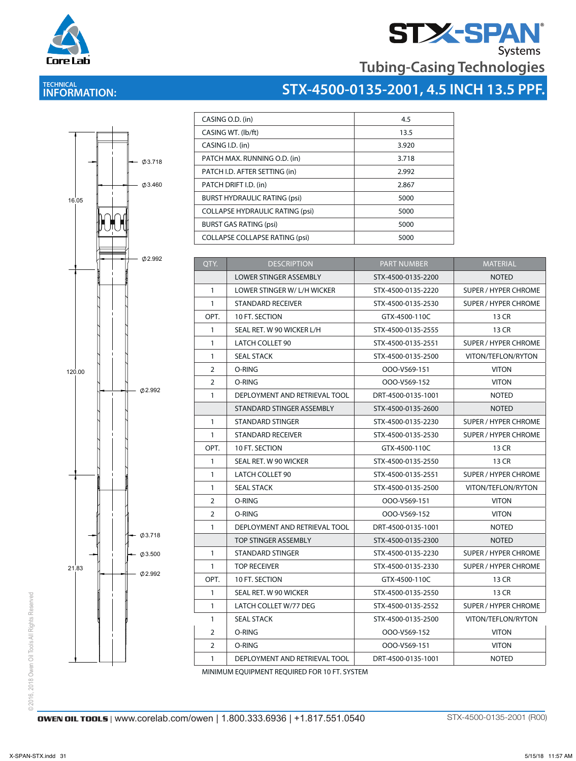



 $\Gamma$ 

# **STX-4500-0135-2001, 4.5 INCH 13.5 PPF.**



| CASING O.D. (in)                       | 4.5   |
|----------------------------------------|-------|
| CASING WT. (lb/ft)                     | 13.5  |
| CASING I.D. (in)                       | 3.920 |
| PATCH MAX. RUNNING O.D. (in)           | 3.718 |
| PATCH I.D. AFTER SETTING (in)          | 2.992 |
| PATCH DRIFT I.D. (in)                  | 2.867 |
| <b>BURST HYDRAULIC RATING (psi)</b>    | 5000  |
| <b>COLLAPSE HYDRAULIC RATING (psi)</b> | 5000  |
| <b>BURST GAS RATING (psi)</b>          | 5000  |
| <b>COLLAPSE COLLAPSE RATING (psi)</b>  | 5000  |

| QTY.           | <b>DESCRIPTION</b>            | <b>PART NUMBER</b> | MATERIAL                    |
|----------------|-------------------------------|--------------------|-----------------------------|
|                | <b>LOWER STINGER ASSEMBLY</b> | STX-4500-0135-2200 | <b>NOTED</b>                |
| $\mathbf{1}$   | LOWER STINGER W/ L/H WICKER   | STX-4500-0135-2220 | <b>SUPER / HYPER CHROME</b> |
| $\mathbf{1}$   | STANDARD RECEIVER             | STX-4500-0135-2530 | SUPER / HYPER CHROME        |
| OPT.           | 10 FT. SECTION                | GTX-4500-110C      | 13 CR                       |
| $\mathbf{1}$   | SEAL RET. W 90 WICKER L/H     | STX-4500-0135-2555 | 13 CR                       |
| $\mathbf{1}$   | LATCH COLLET 90               | STX-4500-0135-2551 | SUPER / HYPER CHROME        |
| $\mathbf{1}$   | <b>SEAL STACK</b>             | STX-4500-0135-2500 | VITON/TEFLON/RYTON          |
| $\overline{2}$ | O-RING                        | OOO-V569-151       | <b>VITON</b>                |
| $\overline{2}$ | O-RING                        | OOO-V569-152       | <b>VITON</b>                |
| $\mathbf{1}$   | DEPLOYMENT AND RETRIEVAL TOOL | DRT-4500-0135-1001 | <b>NOTED</b>                |
|                | STANDARD STINGER ASSEMBLY     | STX-4500-0135-2600 | <b>NOTED</b>                |
| $\mathbf{1}$   | STANDARD STINGER              | STX-4500-0135-2230 | SUPER / HYPER CHROME        |
| $\mathbf{1}$   | <b>STANDARD RECEIVER</b>      | STX-4500-0135-2530 | SUPER / HYPER CHROME        |
| OPT.           | 10 FT. SECTION                | GTX-4500-110C      | 13 CR                       |
| $\mathbf{1}$   | SEAL RET. W 90 WICKER         | STX-4500-0135-2550 | 13 CR                       |
| $\mathbf{1}$   | LATCH COLLET 90               | STX-4500-0135-2551 | SUPER / HYPER CHROME        |
| $\mathbf{1}$   | <b>SEAL STACK</b>             | STX-4500-0135-2500 | VITON/TEFLON/RYTON          |
| $\overline{2}$ | O-RING                        | OOO-V569-151       | <b>VITON</b>                |
| $\overline{2}$ | O-RING                        | OOO-V569-152       | <b>VITON</b>                |
| $\mathbf{1}$   | DEPLOYMENT AND RETRIEVAL TOOL | DRT-4500-0135-1001 | <b>NOTED</b>                |
|                | TOP STINGER ASSEMBLY          | STX-4500-0135-2300 | <b>NOTED</b>                |
| $\mathbf{1}$   | STANDARD STINGER              | STX-4500-0135-2230 | <b>SUPER / HYPER CHROME</b> |
| $\mathbf{1}$   | <b>TOP RECEIVER</b>           | STX-4500-0135-2330 | SUPER / HYPER CHROME        |
| OPT.           | 10 FT. SECTION                | GTX-4500-110C      | 13 CR                       |
| $\mathbf{1}$   | SEAL RET. W 90 WICKER         | STX-4500-0135-2550 | 13 CR                       |
| $\mathbf{1}$   | LATCH COLLET W/77 DEG         | STX-4500-0135-2552 | SUPER / HYPER CHROME        |
| $\mathbf{1}$   | <b>SEAL STACK</b>             | STX-4500-0135-2500 | VITON/TEFLON/RYTON          |
| 2              | O-RING                        | OOO-V569-152       | <b>VITON</b>                |
| $\overline{2}$ | O-RING                        | OOO-V569-151       | <b>VITON</b>                |
|                |                               |                    |                             |

MINIMUM EQUIPMENT REQUIRED FOR 10 FT. SYSTEM

© 2016, 2018 Owen Oil Tools All Rights Reserved © 2016, 2018 Owen Oil Tools All Rights Reserved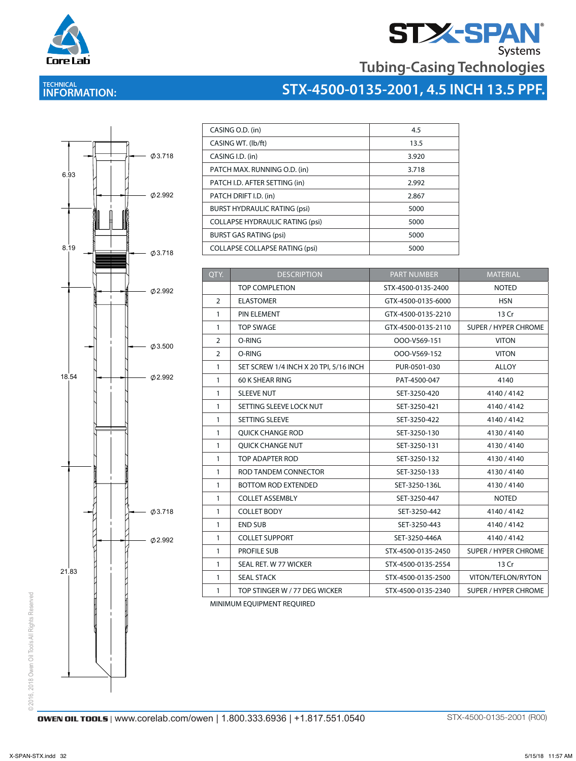



| STX-4500-0135-2001, 4.5 INCH 13.5 PPF. |  |
|----------------------------------------|--|
|                                        |  |



| CASING O.D. (in)                       | 4.5   |
|----------------------------------------|-------|
| CASING WT. (lb/ft)                     | 13.5  |
| CASING I.D. (in)                       | 3.920 |
| PATCH MAX. RUNNING O.D. (in)           | 3.718 |
| PATCH I.D. AFTER SETTING (in)          | 2.992 |
| PATCH DRIFT I.D. (in)                  | 2.867 |
| <b>BURST HYDRAULIC RATING (psi)</b>    | 5000  |
| <b>COLLAPSE HYDRAULIC RATING (psi)</b> | 5000  |
| <b>BURST GAS RATING (psi)</b>          | 5000  |
| <b>COLLAPSE COLLAPSE RATING (psi)</b>  | 5000  |

| QTY.           | <b>DESCRIPTION</b>                     | <b>PART NUMBER</b> | <b>MATERIAL</b>             |
|----------------|----------------------------------------|--------------------|-----------------------------|
|                | <b>TOP COMPLETION</b>                  | STX-4500-0135-2400 | <b>NOTED</b>                |
| $\overline{2}$ | <b>ELASTOMER</b>                       | GTX-4500-0135-6000 | <b>HSN</b>                  |
| $\mathbf{1}$   | PIN ELEMENT                            | GTX-4500-0135-2210 | 13 Cr                       |
| $\mathbf{1}$   | <b>TOP SWAGE</b>                       | GTX-4500-0135-2110 | <b>SUPER / HYPER CHROME</b> |
| 2              | O-RING                                 | OOO-V569-151       | <b>VITON</b>                |
| $\overline{2}$ | O-RING                                 | OOO-V569-152       | <b>VITON</b>                |
| 1              | SET SCREW 1/4 INCH X 20 TPI, 5/16 INCH | PUR-0501-030       | <b>ALLOY</b>                |
| $\mathbf{1}$   | 60 K SHEAR RING                        | PAT-4500-047       | 4140                        |
| 1              | <b>SLEEVE NUT</b>                      | SET-3250-420       | 4140/4142                   |
| 1              | SETTING SLEEVE LOCK NUT                | SET-3250-421       | 4140/4142                   |
| 1              | <b>SETTING SLEEVE</b>                  | SET-3250-422       | 4140/4142                   |
| $\mathbf{1}$   | <b>QUICK CHANGE ROD</b>                | SET-3250-130       | 4130/4140                   |
| $\mathbf{1}$   | <b>OUICK CHANGE NUT</b>                | SET-3250-131       | 4130/4140                   |
| 1              | TOP ADAPTER ROD                        | SET-3250-132       | 4130/4140                   |
| $\mathbf{1}$   | ROD TANDEM CONNECTOR                   | SET-3250-133       | 4130/4140                   |
| $\mathbf{1}$   | <b>BOTTOM ROD EXTENDED</b>             | SET-3250-136L      | 4130/4140                   |
| $\mathbf{1}$   | <b>COLLET ASSEMBLY</b>                 | SET-3250-447       | <b>NOTED</b>                |
| $\mathbf{1}$   | <b>COLLET BODY</b>                     | SET-3250-442       | 4140/4142                   |
| $\mathbf{1}$   | <b>END SUB</b>                         | SET-3250-443       | 4140/4142                   |
| $\mathbf{1}$   | <b>COLLET SUPPORT</b>                  | SET-3250-446A      | 4140/4142                   |
| $\mathbf{1}$   | <b>PROFILE SUB</b>                     | STX-4500-0135-2450 | <b>SUPER / HYPER CHROME</b> |
| $\mathbf{1}$   | SEAL RET. W 77 WICKER                  | STX-4500-0135-2554 | 13 Cr                       |
| $\mathbf{1}$   | <b>SEAL STACK</b>                      | STX-4500-0135-2500 | VITON/TEFLON/RYTON          |
| 1              | TOP STINGER W / 77 DEG WICKER          | STX-4500-0135-2340 | <b>SUPER / HYPER CHROME</b> |

MINIMUM EQUIPMENT REQUIRED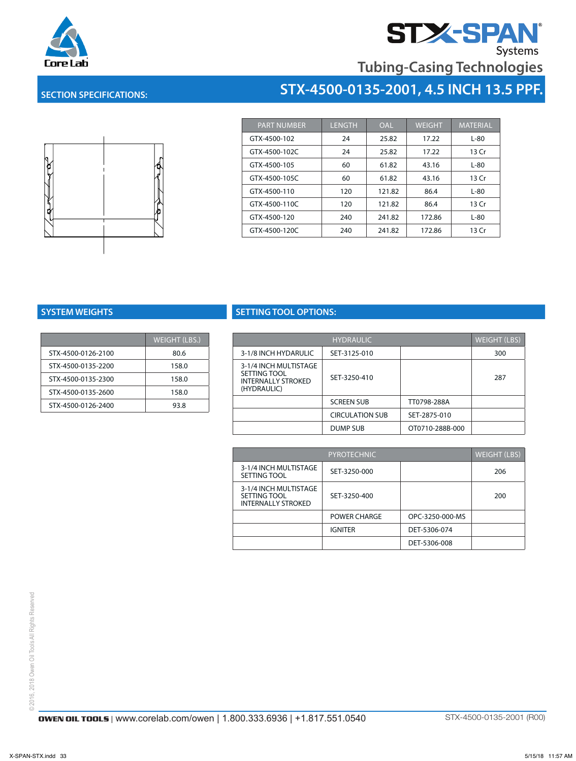

# **STX-SPAN**

**Tubing-Casing Technologies**

**STX-4500-0135-2001, 4.5 INCH 13.5 PPF.**

## **SECTION SPECIFICATIONS:**



| <b>PART NUMBER</b> | <b>LENGTH</b> | <b>OAL</b> | <b>WEIGHT</b> | <b>MATERIAL</b> |
|--------------------|---------------|------------|---------------|-----------------|
| GTX-4500-102       | 24            | 25.82      | 17.22         | L-80            |
| GTX-4500-102C      | 24            | 25.82      | 17.22         | 13 Cr           |
| GTX-4500-105       | 60            | 61.82      | 43.16         | L-80            |
| GTX-4500-105C      | 60            | 61.82      | 43.16         | 13 Cr           |
| GTX-4500-110       | 120           | 121.82     | 86.4          | L-80            |
| GTX-4500-110C      | 120           | 121.82     | 86.4          | 13 Cr           |
| GTX-4500-120       | 240           | 241.82     | 172.86        | L-80            |
| GTX-4500-120C      | 240           | 241.82     | 172.86        | 13 Cr           |

|                    | <b>WEIGHT (LBS.)</b> |
|--------------------|----------------------|
| STX-4500-0126-2100 | 80.6                 |
| STX-4500-0135-2200 | 158.0                |
| STX-4500-0135-2300 | 158.0                |
| STX-4500-0135-2600 | 158.0                |
| STX-4500-0126-2400 | 93.8                 |

## **SYSTEM WEIGHTS SETTING TOOL OPTIONS:**

| <b>WEIGHT (LBS.)</b> |                                           | <b>WEIGHT (LBS)</b><br><b>HYDRAULIC</b> |                 |     |
|----------------------|-------------------------------------------|-----------------------------------------|-----------------|-----|
| 80.6                 | 3-1/8 INCH HYDARULIC                      | SET-3125-010                            |                 | 300 |
| 158.0                | 3-1/4 INCH MULTISTAGE                     |                                         |                 |     |
| 158.0                | SETTING TOOL<br><b>INTERNALLY STROKED</b> | SET-3250-410                            |                 | 287 |
| 158.0                | (HYDRAULIC)                               |                                         |                 |     |
| 93.8                 |                                           | <b>SCREEN SUB</b>                       | TT0798-288A     |     |
|                      |                                           | <b>CIRCULATION SUB</b>                  | SET-2875-010    |     |
|                      |                                           | DUMP SUB                                | OT0710-288B-000 |     |
|                      |                                           |                                         |                 |     |

|                                                                    | <b>PYROTECHNIC</b> |                 | <b>WEIGHT (LBS)</b> |
|--------------------------------------------------------------------|--------------------|-----------------|---------------------|
| 3-1/4 INCH MULTISTAGE<br>SETTING TOOL                              | SET-3250-000       |                 | 206                 |
| 3-1/4 INCH MULTISTAGE<br>SETTING TOOL<br><b>INTERNALLY STROKED</b> | SET-3250-400       |                 | 200                 |
|                                                                    | POWER CHARGE       | OPC-3250-000-MS |                     |
|                                                                    | <b>IGNITER</b>     | DET-5306-074    |                     |
|                                                                    |                    | DET-5306-008    |                     |